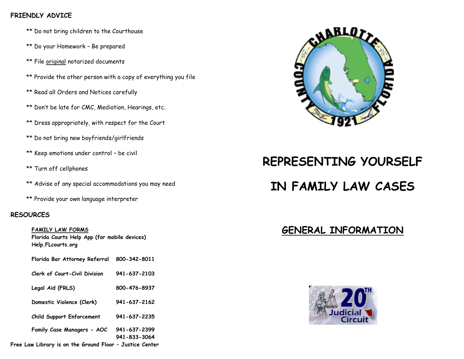#### **FRIENDLY ADVICE**

- \*\* Do not bring children to the Courthouse
- \*\* Do your Homework Be prepared
- \*\* File original notarized documents
- \*\* Provide the other person with a copy of everything you file
- \*\* Read all Orders and Notices carefully
- \*\* Don't be late for CMC, Mediation, Hearings, etc.
- \*\* Dress appropriately, with respect for the Court
- \*\* Do not bring new boyfriends/girlfriends
- \*\* Keep emotions under control be civil
- \*\* Turn off cellphones
- \*\* Advise of any special accommodations you may need
- \*\* Provide your own language interpreter

#### **RESOURCES**

**FAMILY LAW FORMS Florida Courts Help App (for mobile devices) Help.FLcourts.org**

- **Florida Bar Attorney Referral 800-342-8011**
- **Clerk of Court-Civil Division 941-637-2103**
- **Legal Aid (FRLS) 800-476-8937**
- **Domestic Violence (Clerk) 941-637-2162**
- **Child Support Enforcement 941-637-2235**
- **Family Case Managers - AOC 941-637-2399** 
	- **941-833-3064**







# **REPRESENTING YOURSELF**

## **IN FAMILY LAW CASES**

### **GENERAL INFORMATION**